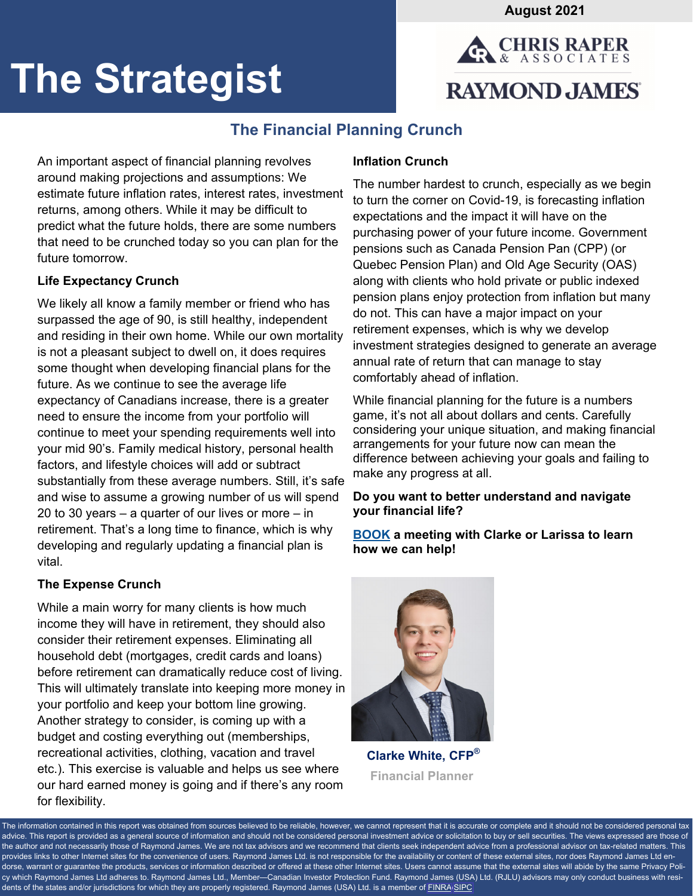**August 2021** 



# **The Strategist**

# **The Financial Planning Crunch**

An important aspect of financial planning revolves around making projections and assumptions: We estimate future inflation rates, interest rates, investment returns, among others. While it may be difficult to predict what the future holds, there are some numbers that need to be crunched today so you can plan for the future tomorrow.

# **Life Expectancy Crunch**

We likely all know a family member or friend who has surpassed the age of 90, is still healthy, independent and residing in their own home. While our own mortality is not a pleasant subject to dwell on, it does requires some thought when developing financial plans for the future. As we continue to see the average life expectancy of Canadians increase, there is a greater need to ensure the income from your portfolio will continue to meet your spending requirements well into your mid 90's. Family medical history, personal health factors, and lifestyle choices will add or subtract substantially from these average numbers. Still, it's safe and wise to assume a growing number of us will spend 20 to 30 years – a quarter of our lives or more – in retirement. That's a long time to finance, which is why developing and regularly updating a financial plan is vital.

# **The Expense Crunch**

While a main worry for many clients is how much income they will have in retirement, they should also consider their retirement expenses. Eliminating all household debt (mortgages, credit cards and loans) before retirement can dramatically reduce cost of living. This will ultimately translate into keeping more money in your portfolio and keep your bottom line growing. Another strategy to consider, is coming up with a budget and costing everything out (memberships, recreational activities, clothing, vacation and travel etc.). This exercise is valuable and helps us see where our hard earned money is going and if there's any room for flexibility.

# **Inflation Crunch**

The number hardest to crunch, especially as we begin to turn the corner on Covid-19, is forecasting inflation expectations and the impact it will have on the purchasing power of your future income. Government pensions such as Canada Pension Pan (CPP) (or Quebec Pension Plan) and Old Age Security (OAS) along with clients who hold private or public indexed pension plans enjoy protection from inflation but many do not. This can have a major impact on your retirement expenses, which is why we develop investment strategies designed to generate an average annual rate of return that can manage to stay comfortably ahead of inflation.

While financial planning for the future is a numbers game, it's not all about dollars and cents. Carefully considering your unique situation, and making financial arrangements for your future now can mean the difference between achieving your goals and failing to make any progress at all.

# **Do you want to better understand and navigate your financial life?**

## **[BOOK](https://outlook.office365.com/owa/calendar/ChrisRaperAssociates@raymondjamesprod.onmicrosoft.com/bookings/) a meeting with Clarke or Larissa to learn how we can help!**



 **Clarke White, CFP® Financial Planner** 

The information contained in this report was obtained from sources believed to be reliable, however, we cannot represent that it is accurate or complete and it should not be considered personal tax advice. This report is provided as a general source of information and should not be considered personal investment advice or solicitation to buy or sell securities. The views expressed are those of the author and not necessarily those of Raymond James. We are not tax advisors and we recommend that clients seek independent advice from a professional advisor on tax-related matters. This provides links to other Internet sites for the convenience of users. Raymond James Ltd. is not responsible for the availability or content of these external sites, nor does Raymond James Ltd endorse, warrant or guarantee the products, services or information described or offered at these other Internet sites. Users cannot assume that the external sites will abide by the same Privacy Policy which Raymond James Ltd adheres to. Raymond James Ltd., Member—Canadian Investor Protection Fund. Raymond James (USA) Ltd. (RJLU) advisors may only conduct business with resi-dents of the states and/or jurisdictions for which they are properly registered. Raymond James (USA) Ltd. is a member of [FINRA](https://www.finra.org/#/)[/SIPC.](https://www.sipc.org/)